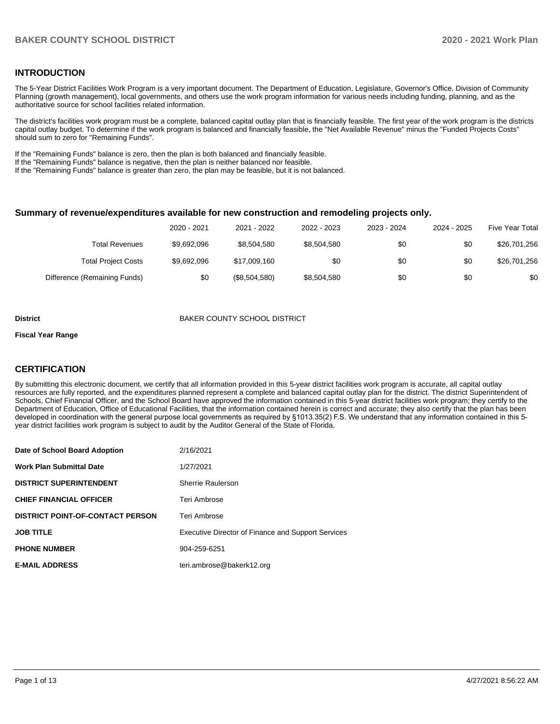### **INTRODUCTION**

The 5-Year District Facilities Work Program is a very important document. The Department of Education, Legislature, Governor's Office, Division of Community Planning (growth management), local governments, and others use the work program information for various needs including funding, planning, and as the authoritative source for school facilities related information.

The district's facilities work program must be a complete, balanced capital outlay plan that is financially feasible. The first year of the work program is the districts capital outlay budget. To determine if the work program is balanced and financially feasible, the "Net Available Revenue" minus the "Funded Projects Costs" should sum to zero for "Remaining Funds".

If the "Remaining Funds" balance is zero, then the plan is both balanced and financially feasible.

If the "Remaining Funds" balance is negative, then the plan is neither balanced nor feasible.

If the "Remaining Funds" balance is greater than zero, the plan may be feasible, but it is not balanced.

#### **Summary of revenue/expenditures available for new construction and remodeling projects only.**

| <b>Five Year Total</b> | 2024 - 2025 | 2023 - 2024 | 2022 - 2023 | 2021 - 2022   | 2020 - 2021 |                              |
|------------------------|-------------|-------------|-------------|---------------|-------------|------------------------------|
| \$26,701,256           | \$0         | \$0         | \$8,504,580 | \$8,504,580   | \$9.692.096 | Total Revenues               |
| \$26,701,256           | \$0         | \$0         | \$0         | \$17,009,160  | \$9,692,096 | <b>Total Project Costs</b>   |
| \$0                    | \$0         | \$0         | \$8,504,580 | (\$8,504,580) | \$0         | Difference (Remaining Funds) |

#### **District** BAKER COUNTY SCHOOL DISTRICT

#### **Fiscal Year Range**

### **CERTIFICATION**

By submitting this electronic document, we certify that all information provided in this 5-year district facilities work program is accurate, all capital outlay resources are fully reported, and the expenditures planned represent a complete and balanced capital outlay plan for the district. The district Superintendent of Schools, Chief Financial Officer, and the School Board have approved the information contained in this 5-year district facilities work program; they certify to the Department of Education, Office of Educational Facilities, that the information contained herein is correct and accurate; they also certify that the plan has been developed in coordination with the general purpose local governments as required by §1013.35(2) F.S. We understand that any information contained in this 5 year district facilities work program is subject to audit by the Auditor General of the State of Florida.

| Date of School Board Adoption           | 2/16/2021                                                 |
|-----------------------------------------|-----------------------------------------------------------|
| <b>Work Plan Submittal Date</b>         | 1/27/2021                                                 |
| <b>DISTRICT SUPERINTENDENT</b>          | Sherrie Raulerson                                         |
| <b>CHIEF FINANCIAL OFFICER</b>          | Teri Ambrose                                              |
| <b>DISTRICT POINT-OF-CONTACT PERSON</b> | Teri Ambrose                                              |
| <b>JOB TITLE</b>                        | <b>Executive Director of Finance and Support Services</b> |
| <b>PHONE NUMBER</b>                     | 904-259-6251                                              |
| <b>E-MAIL ADDRESS</b>                   | teri.ambrose@bakerk12.org                                 |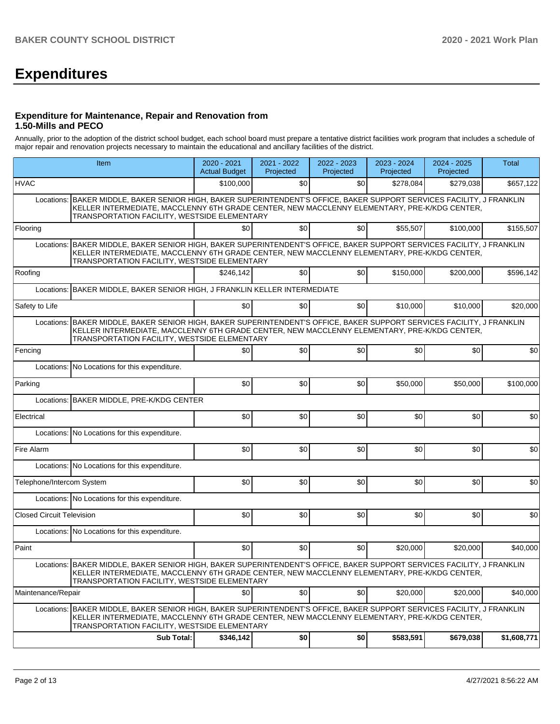# **Expenditures**

#### **Expenditure for Maintenance, Repair and Renovation from 1.50-Mills and PECO**

Annually, prior to the adoption of the district school budget, each school board must prepare a tentative district facilities work program that includes a schedule of major repair and renovation projects necessary to maintain the educational and ancillary facilities of the district.

|                                  | Item                                                                                                                                                                                                                                                                   | 2020 - 2021<br><b>Actual Budget</b> | 2021 - 2022<br>Projected | 2022 - 2023<br>Projected | 2023 - 2024<br>Projected | 2024 - 2025<br>Projected | Total       |  |
|----------------------------------|------------------------------------------------------------------------------------------------------------------------------------------------------------------------------------------------------------------------------------------------------------------------|-------------------------------------|--------------------------|--------------------------|--------------------------|--------------------------|-------------|--|
| <b>HVAC</b>                      |                                                                                                                                                                                                                                                                        | \$100.000                           | \$0                      | \$0                      | \$278,084                | \$279,038                | \$657,122   |  |
|                                  | Locations: BAKER MIDDLE, BAKER SENIOR HIGH, BAKER SUPERINTENDENT'S OFFICE, BAKER SUPPORT SERVICES FACILITY, J FRANKLIN<br>KELLER INTERMEDIATE, MACCLENNY 6TH GRADE CENTER, NEW MACCLENNY ELEMENTARY, PRE-K/KDG CENTER,<br>TRANSPORTATION FACILITY, WESTSIDE ELEMENTARY |                                     |                          |                          |                          |                          |             |  |
| Flooring                         |                                                                                                                                                                                                                                                                        | \$0                                 | \$0                      | \$0                      | \$55,507                 | \$100,000                | \$155,507   |  |
|                                  | Locations: BAKER MIDDLE, BAKER SENIOR HIGH, BAKER SUPERINTENDENT'S OFFICE, BAKER SUPPORT SERVICES FACILITY, J FRANKLIN<br>KELLER INTERMEDIATE, MACCLENNY 6TH GRADE CENTER, NEW MACCLENNY ELEMENTARY, PRE-K/KDG CENTER,<br>TRANSPORTATION FACILITY, WESTSIDE ELEMENTARY |                                     |                          |                          |                          |                          |             |  |
| Roofing                          |                                                                                                                                                                                                                                                                        | \$246,142                           | \$0                      | \$0                      | \$150,000                | \$200,000                | \$596,142   |  |
| Locations:                       | BAKER MIDDLE, BAKER SENIOR HIGH, J FRANKLIN KELLER INTERMEDIATE                                                                                                                                                                                                        |                                     |                          |                          |                          |                          |             |  |
| Safety to Life                   |                                                                                                                                                                                                                                                                        | \$0                                 | \$0                      | \$0                      | \$10,000                 | \$10,000                 | \$20,000    |  |
| Locations:                       | BAKER MIDDLE, BAKER SENIOR HIGH, BAKER SUPERINTENDENT'S OFFICE, BAKER SUPPORT SERVICES FACILITY, J FRANKLIN<br>KELLER INTERMEDIATE, MACCLENNY 6TH GRADE CENTER, NEW MACCLENNY ELEMENTARY, PRE-K/KDG CENTER,<br>TRANSPORTATION FACILITY, WESTSIDE ELEMENTARY            |                                     |                          |                          |                          |                          |             |  |
| Fencing                          |                                                                                                                                                                                                                                                                        | \$0                                 | \$0                      | \$0                      | \$0                      | \$0                      | \$0         |  |
|                                  | Locations: No Locations for this expenditure.                                                                                                                                                                                                                          |                                     |                          |                          |                          |                          |             |  |
| Parking                          |                                                                                                                                                                                                                                                                        | \$0                                 | \$0                      | \$0                      | \$50,000                 | \$50,000                 | \$100,000   |  |
| Locations:                       | BAKER MIDDLE, PRE-K/KDG CENTER                                                                                                                                                                                                                                         |                                     |                          |                          |                          |                          |             |  |
| Electrical                       |                                                                                                                                                                                                                                                                        | \$0                                 | \$0                      | \$0                      | \$0                      | \$0                      | \$0         |  |
|                                  | Locations: No Locations for this expenditure.                                                                                                                                                                                                                          |                                     |                          |                          |                          |                          |             |  |
| Fire Alarm                       |                                                                                                                                                                                                                                                                        | \$0                                 | \$0                      | \$0                      | \$0                      | \$0                      | \$0         |  |
|                                  | Locations: No Locations for this expenditure.                                                                                                                                                                                                                          |                                     |                          |                          |                          |                          |             |  |
| Telephone/Intercom System        |                                                                                                                                                                                                                                                                        | \$0                                 | \$0                      | \$0                      | \$0                      | \$0                      | \$0         |  |
|                                  | Locations: No Locations for this expenditure.                                                                                                                                                                                                                          |                                     |                          |                          |                          |                          |             |  |
| <b>Closed Circuit Television</b> |                                                                                                                                                                                                                                                                        | \$0                                 | \$0                      | \$0                      | \$0                      | \$0                      | \$0         |  |
|                                  | Locations: No Locations for this expenditure.                                                                                                                                                                                                                          |                                     |                          |                          |                          |                          |             |  |
| Paint                            |                                                                                                                                                                                                                                                                        | \$0                                 | \$0                      | \$0                      | \$20,000                 | \$20,000                 | \$40,000    |  |
|                                  | Locations: BAKER MIDDLE, BAKER SENIOR HIGH, BAKER SUPERINTENDENT'S OFFICE, BAKER SUPPORT SERVICES FACILITY, J FRANKLIN<br>KELLER INTERMEDIATE, MACCLENNY 6TH GRADE CENTER, NEW MACCLENNY ELEMENTARY, PRE-K/KDG CENTER,<br>TRANSPORTATION FACILITY, WESTSIDE ELEMENTARY |                                     |                          |                          |                          |                          |             |  |
| Maintenance/Repair               |                                                                                                                                                                                                                                                                        | \$0                                 | \$0                      | \$0                      | \$20,000                 | \$20,000                 | \$40,000    |  |
| Locations:                       | BAKER MIDDLE, BAKER SENIOR HIGH, BAKER SUPERINTENDENT'S OFFICE, BAKER SUPPORT SERVICES FACILITY, J FRANKLIN<br>KELLER INTERMEDIATE, MACCLENNY 6TH GRADE CENTER, NEW MACCLENNY ELEMENTARY, PRE-K/KDG CENTER,<br>TRANSPORTATION FACILITY, WESTSIDE ELEMENTARY            |                                     |                          |                          |                          |                          |             |  |
|                                  | <b>Sub Total:</b>                                                                                                                                                                                                                                                      | \$346,142                           | \$0                      | \$0                      | \$583,591                | \$679,038                | \$1,608,771 |  |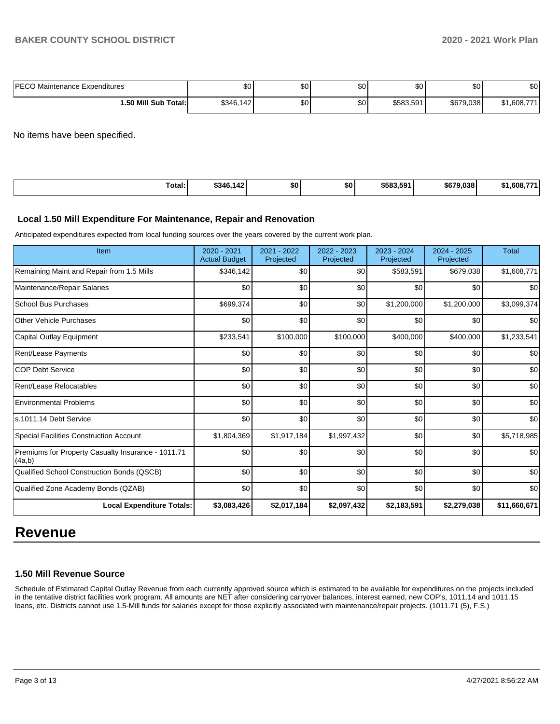| <b>IPECO Maintenance Expenditures</b> | ሖጣ        | ሖ         | $\sim$  | ሶስ        | ¢∩        | ሶስ         |
|---------------------------------------|-----------|-----------|---------|-----------|-----------|------------|
|                                       | Ψ∪        | ΦU        | w       | w         | JU.       | ו שפ       |
| 1.50 Mill Sub Total:İ                 | \$346.142 | ሶስ<br>JU. | ሶሳ<br>ູ | \$583.591 | \$679.038 | 1,608,77*ه |

No items have been specified.

|--|

#### **Local 1.50 Mill Expenditure For Maintenance, Repair and Renovation**

Anticipated expenditures expected from local funding sources over the years covered by the current work plan.

| Item                                                         | 2020 - 2021<br><b>Actual Budget</b> | 2021 - 2022<br>Projected | 2022 - 2023<br>Projected | 2023 - 2024<br>Projected | $2024 - 2025$<br>Projected | <b>Total</b> |
|--------------------------------------------------------------|-------------------------------------|--------------------------|--------------------------|--------------------------|----------------------------|--------------|
| Remaining Maint and Repair from 1.5 Mills                    | \$346,142                           | \$0                      | \$0                      | \$583,591                | \$679,038                  | \$1,608,771  |
| Maintenance/Repair Salaries                                  | \$0                                 | \$0                      | \$0                      | \$0                      | \$0                        | \$0          |
| <b>School Bus Purchases</b>                                  | \$699,374                           | \$0                      | \$0                      | \$1,200,000              | \$1,200,000                | \$3,099,374  |
| <b>Other Vehicle Purchases</b>                               | \$0                                 | \$0                      | \$0                      | \$0                      | \$0                        | \$0          |
| Capital Outlay Equipment                                     | \$233,541                           | \$100,000                | \$100,000                | \$400,000                | \$400,000                  | \$1,233,541  |
| <b>Rent/Lease Payments</b>                                   | \$0                                 | \$0                      | \$0                      | \$0                      | \$0                        | \$0          |
| <b>COP Debt Service</b>                                      | \$0                                 | \$0                      | \$0                      | \$0                      | \$0                        | \$0          |
| Rent/Lease Relocatables                                      | \$0                                 | \$0                      | \$0                      | \$0                      | \$0                        | \$0          |
| <b>Environmental Problems</b>                                | \$0                                 | \$0                      | \$0                      | \$0                      | \$0                        | \$0          |
| s.1011.14 Debt Service                                       | \$0                                 | \$0                      | \$0                      | \$0                      | \$0                        | \$0          |
| <b>Special Facilities Construction Account</b>               | \$1,804,369                         | \$1,917,184              | \$1,997,432              | \$0                      | \$0                        | \$5,718,985  |
| Premiums for Property Casualty Insurance - 1011.71<br>(4a,b) | \$0                                 | \$0                      | \$0                      | \$0                      | \$0                        | \$0          |
| Qualified School Construction Bonds (QSCB)                   | \$0                                 | \$0                      | \$0                      | \$0                      | \$0                        | \$0          |
| Qualified Zone Academy Bonds (QZAB)                          | \$0                                 | \$0                      | \$0                      | \$0                      | \$0                        | \$0          |
| <b>Local Expenditure Totals:</b>                             | \$3,083,426                         | \$2,017,184              | \$2,097,432              | \$2,183,591              | \$2,279,038                | \$11,660,671 |

# **Revenue**

### **1.50 Mill Revenue Source**

Schedule of Estimated Capital Outlay Revenue from each currently approved source which is estimated to be available for expenditures on the projects included in the tentative district facilities work program. All amounts are NET after considering carryover balances, interest earned, new COP's, 1011.14 and 1011.15 loans, etc. Districts cannot use 1.5-Mill funds for salaries except for those explicitly associated with maintenance/repair projects. (1011.71 (5), F.S.)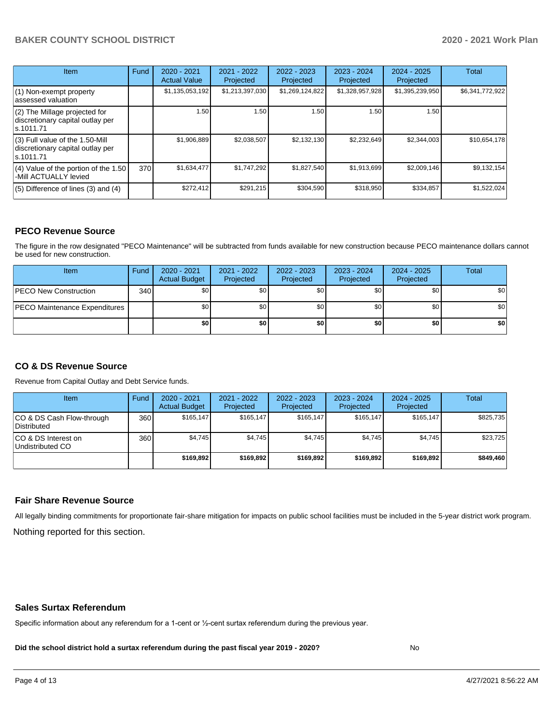## **BAKER COUNTY SCHOOL DISTRICT 2020 - 2021 Work Plan**

| <b>Item</b>                                                                       | Fund | $2020 - 2021$<br><b>Actual Value</b> | $2021 - 2022$<br>Projected | $2022 - 2023$<br>Projected | $2023 - 2024$<br>Projected | $2024 - 2025$<br>Projected | Total           |
|-----------------------------------------------------------------------------------|------|--------------------------------------|----------------------------|----------------------------|----------------------------|----------------------------|-----------------|
| (1) Non-exempt property<br>lassessed valuation                                    |      | \$1,135,053,192                      | \$1,213,397,030            | \$1,269,124,822            | \$1,328,957,928            | \$1,395,239,950            | \$6,341,772,922 |
| $(2)$ The Millage projected for<br>discretionary capital outlay per<br>ls.1011.71 |      | 1.50                                 | 1.50                       | 1.50                       | 1.50                       | 1.50                       |                 |
| (3) Full value of the 1.50-Mill<br>discretionary capital outlay per<br>ls.1011.71 |      | \$1,906,889                          | \$2,038,507                | \$2,132,130                | \$2,232,649                | \$2,344,003                | \$10,654,178    |
| $(4)$ Value of the portion of the 1.50<br>-Mill ACTUALLY levied                   | 370  | \$1,634,477                          | \$1,747,292                | \$1,827,540                | \$1,913,699                | \$2,009,146                | \$9,132,154     |
| $(5)$ Difference of lines (3) and (4)                                             |      | \$272,412                            | \$291,215                  | \$304.590                  | \$318,950                  | \$334,857                  | \$1,522,024     |

### **PECO Revenue Source**

The figure in the row designated "PECO Maintenance" will be subtracted from funds available for new construction because PECO maintenance dollars cannot be used for new construction.

| Item                                 | Fund             | 2020 - 2021<br><b>Actual Budget</b> | 2021 - 2022<br>Projected | 2022 - 2023<br>Projected | 2023 - 2024<br>Projected | 2024 - 2025<br>Projected | Total |
|--------------------------------------|------------------|-------------------------------------|--------------------------|--------------------------|--------------------------|--------------------------|-------|
| <b>PECO New Construction</b>         | 340 <sup>1</sup> | \$0 <sub>1</sub>                    | \$0                      | \$0                      | \$0                      | \$0                      | \$0   |
| <b>PECO Maintenance Expenditures</b> |                  | \$0 I                               | \$0 <sub>1</sub>         | \$0                      | \$0                      | \$0                      | \$0   |
|                                      |                  | \$0                                 | \$0                      | \$0                      | \$0                      | \$0                      | \$0   |

### **CO & DS Revenue Source**

Revenue from Capital Outlay and Debt Service funds.

| Item                                      | Fund | $2020 - 2021$<br><b>Actual Budget</b> | 2021 - 2022<br>Projected | 2022 - 2023<br>Projected | $2023 - 2024$<br>Projected | $2024 - 2025$<br>Projected | Total     |
|-------------------------------------------|------|---------------------------------------|--------------------------|--------------------------|----------------------------|----------------------------|-----------|
| ICO & DS Cash Flow-through<br>Distributed | 360  | \$165.147                             | \$165.147                | \$165.147                | \$165.147                  | \$165.147                  | \$825,735 |
| ICO & DS Interest on<br>Undistributed CO  | 360  | \$4.745                               | \$4.745                  | \$4,745                  | \$4.745                    | \$4.745                    | \$23,725  |
|                                           |      | \$169.892                             | \$169.892                | \$169.892                | \$169.892                  | \$169.892                  | \$849,460 |

#### **Fair Share Revenue Source**

Nothing reported for this section. All legally binding commitments for proportionate fair-share mitigation for impacts on public school facilities must be included in the 5-year district work program.

#### **Sales Surtax Referendum**

Specific information about any referendum for a 1-cent or ½-cent surtax referendum during the previous year.

**Did the school district hold a surtax referendum during the past fiscal year 2019 - 2020?**

No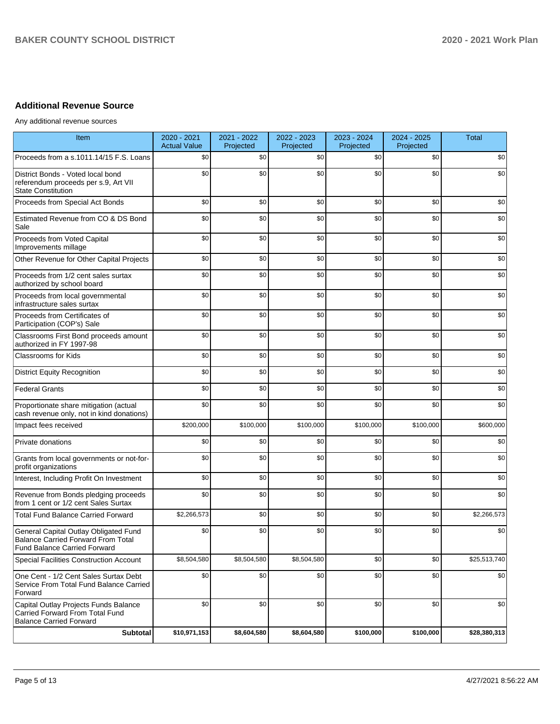## **Additional Revenue Source**

Any additional revenue sources

| Item                                                                                                                      | 2020 - 2021<br><b>Actual Value</b> | 2021 - 2022<br>Projected | 2022 - 2023<br>Projected | 2023 - 2024<br>Projected | 2024 - 2025<br>Projected | <b>Total</b> |
|---------------------------------------------------------------------------------------------------------------------------|------------------------------------|--------------------------|--------------------------|--------------------------|--------------------------|--------------|
| Proceeds from a s.1011.14/15 F.S. Loans                                                                                   | \$0                                | \$0                      | \$0                      | \$0                      | \$0                      | \$0          |
| District Bonds - Voted local bond<br>referendum proceeds per s.9, Art VII<br><b>State Constitution</b>                    | \$0                                | \$0                      | \$0                      | \$0                      | \$0                      | \$0          |
| Proceeds from Special Act Bonds                                                                                           | \$0                                | \$0                      | \$0                      | \$0                      | \$0                      | \$0          |
| Estimated Revenue from CO & DS Bond<br>Sale                                                                               | \$0                                | \$0                      | \$0                      | \$0                      | \$0                      | \$0          |
| Proceeds from Voted Capital<br>Improvements millage                                                                       | \$0                                | \$0                      | \$0                      | \$0                      | \$0                      | \$0          |
| Other Revenue for Other Capital Projects                                                                                  | \$0                                | \$0                      | \$0                      | \$0                      | \$0                      | \$0          |
| Proceeds from 1/2 cent sales surtax<br>authorized by school board                                                         | \$0                                | \$0                      | \$0                      | \$0                      | \$0                      | \$0          |
| Proceeds from local governmental<br>infrastructure sales surtax                                                           | \$0                                | \$0                      | \$0                      | \$0                      | \$0                      | \$0          |
| Proceeds from Certificates of<br>Participation (COP's) Sale                                                               | \$0                                | \$0                      | \$0                      | \$0                      | \$0                      | \$0          |
| Classrooms First Bond proceeds amount<br>authorized in FY 1997-98                                                         | \$0                                | \$0                      | \$0                      | \$0                      | \$0                      | \$0          |
| <b>Classrooms for Kids</b>                                                                                                | \$0                                | \$0                      | \$0                      | \$0                      | \$0                      | \$0          |
| <b>District Equity Recognition</b>                                                                                        | \$0                                | \$0                      | \$0                      | \$0                      | \$0                      | \$0          |
| <b>Federal Grants</b>                                                                                                     | \$0                                | \$0                      | \$0                      | \$0                      | \$0                      | \$0          |
| Proportionate share mitigation (actual<br>cash revenue only, not in kind donations)                                       | \$0                                | \$0                      | \$0                      | \$0                      | \$0                      | \$0          |
| Impact fees received                                                                                                      | \$200,000                          | \$100,000                | \$100,000                | \$100,000                | \$100,000                | \$600,000    |
| Private donations                                                                                                         | \$0                                | \$0                      | \$0                      | \$0                      | \$0                      | \$0          |
| Grants from local governments or not-for-<br>profit organizations                                                         | \$0                                | \$0                      | \$0                      | \$0                      | \$0                      | \$0          |
| Interest, Including Profit On Investment                                                                                  | \$0                                | \$0                      | \$0                      | \$0                      | \$0                      | \$0          |
| Revenue from Bonds pledging proceeds<br>from 1 cent or 1/2 cent Sales Surtax                                              | \$0                                | \$0                      | \$0                      | \$0                      | \$0                      | \$0          |
| <b>Total Fund Balance Carried Forward</b>                                                                                 | \$2,266,573                        | \$0                      | \$0                      | \$0                      | \$0                      | \$2,266,573  |
| General Capital Outlay Obligated Fund<br><b>Balance Carried Forward From Total</b><br><b>Fund Balance Carried Forward</b> | \$0                                | \$0                      | \$0                      | \$0                      | \$0                      | \$0          |
| Special Facilities Construction Account                                                                                   | \$8,504,580                        | \$8,504,580              | \$8,504,580              | \$0                      | \$0                      | \$25,513,740 |
| One Cent - 1/2 Cent Sales Surtax Debt<br>Service From Total Fund Balance Carried<br>Forward                               | \$0                                | \$0                      | \$0                      | \$0                      | \$0                      | \$0          |
| Capital Outlay Projects Funds Balance<br>Carried Forward From Total Fund<br><b>Balance Carried Forward</b>                | \$0                                | \$0                      | \$0                      | \$0                      | \$0                      | \$0          |
| <b>Subtotal</b>                                                                                                           | \$10,971,153                       | \$8,604,580              | \$8,604,580              | \$100,000                | \$100,000                | \$28,380,313 |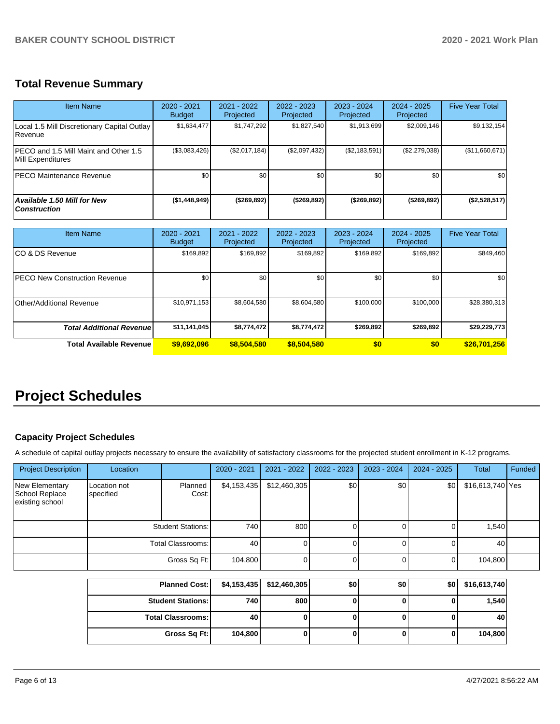# **Total Revenue Summary**

| Item Name                                                   | $2020 - 2021$<br><b>Budget</b> | $2021 - 2022$<br>Projected | $2022 - 2023$<br>Projected | $2023 - 2024$<br>Projected | $2024 - 2025$<br>Projected | <b>Five Year Total</b> |
|-------------------------------------------------------------|--------------------------------|----------------------------|----------------------------|----------------------------|----------------------------|------------------------|
| Local 1.5 Mill Discretionary Capital Outlay<br>l Revenue    | \$1,634,477                    | \$1,747,292                | \$1,827,540                | \$1,913,699                | \$2,009,146                | \$9,132,154            |
| IPECO and 1.5 Mill Maint and Other 1.5<br>Mill Expenditures | (\$3,083,426)                  | (\$2,017,184)              | (\$2,097,432)              | (S2.183.591)               | (\$2,279,038)              | (\$11,660,671)         |
| <b>PECO Maintenance Revenue</b>                             | \$0 <sub>1</sub>               | \$0 <sub>1</sub>           | \$0                        | \$0                        | \$0                        | \$0                    |
| <b>Available 1.50 Mill for New</b><br><b>Construction</b>   | (\$1,448,949)                  | (\$269,892)                | ( \$269, 892)              | ( \$269, 892)              | (\$269,892)                | (\$2,528,517)          |

| <b>Item Name</b>                     | $2020 - 2021$<br><b>Budget</b> | $2021 - 2022$<br>Projected | $2022 - 2023$<br>Projected | 2023 - 2024<br>Projected | 2024 - 2025<br>Projected | <b>Five Year Total</b> |
|--------------------------------------|--------------------------------|----------------------------|----------------------------|--------------------------|--------------------------|------------------------|
| ICO & DS Revenue                     | \$169,892                      | \$169,892                  | \$169,892                  | \$169,892                | \$169,892                | \$849,460              |
| <b>PECO New Construction Revenue</b> | \$0                            | \$0 <sub>1</sub>           | \$0                        | \$0                      | \$0                      | \$0                    |
| Other/Additional Revenue             | \$10,971,153                   | \$8,604,580                | \$8,604,580                | \$100,000                | \$100,000                | \$28,380,313           |
| <b>Total Additional Revenuel</b>     | \$11,141,045                   | \$8,774,472                | \$8,774,472                | \$269,892                | \$269.892                | \$29,229,773           |
| <b>Total Available Revenue</b>       | \$9,692,096                    | \$8,504,580                | \$8,504,580                | \$0                      | \$0                      | \$26,701,256           |

# **Project Schedules**

## **Capacity Project Schedules**

A schedule of capital outlay projects necessary to ensure the availability of satisfactory classrooms for the projected student enrollment in K-12 programs.

| <b>Project Description</b>                          | Location                  |                  | 2020 - 2021 | 2021 - 2022  | $2022 - 2023$ | $2023 - 2024$ | $2024 - 2025$ | <b>Total</b>     | Funded |
|-----------------------------------------------------|---------------------------|------------------|-------------|--------------|---------------|---------------|---------------|------------------|--------|
| New Elementary<br>School Replace<br>existing school | Location not<br>specified | Planned<br>Cost: | \$4,153,435 | \$12,460,305 | \$0           | \$0           | \$0           | \$16,613,740 Yes |        |
|                                                     | <b>Student Stations:</b>  |                  | 740         | 800          |               |               |               | 1,540            |        |
|                                                     | Total Classrooms:         |                  | 40          |              |               |               |               | 40               |        |
|                                                     |                           | Gross Sq Ft:     | 104,800     |              |               |               |               | 104,800          |        |

| <b>Planned Cost:</b>       |         | $$4,153,435$ $$12,460,305$ | \$0 | \$0 | \$0 | \$16,613,740 |
|----------------------------|---------|----------------------------|-----|-----|-----|--------------|
| <b>Student Stations: I</b> | 740     | 800                        |     |     |     | 1,540        |
| <b>Total Classrooms:</b>   | 40      |                            |     |     |     | 40           |
| Gross Sq Ft:               | 104,800 |                            |     |     |     | 104,800      |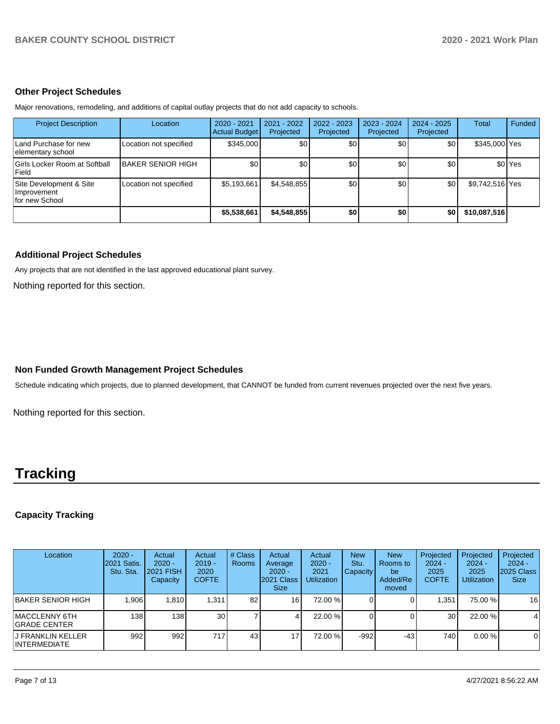#### **Other Project Schedules**

Major renovations, remodeling, and additions of capital outlay projects that do not add capacity to schools.

| <b>Project Description</b>                               | Location                 | 2020 - 2021<br><b>Actual Budget</b> | 2021 - 2022<br>Projected | 2022 - 2023<br>Projected | 2023 - 2024<br>Projected | $2024 - 2025$<br>Projected | <b>Total</b>    | Funded             |
|----------------------------------------------------------|--------------------------|-------------------------------------|--------------------------|--------------------------|--------------------------|----------------------------|-----------------|--------------------|
| Land Purchase for new<br>elementary school               | Location not specified   | \$345,000                           | ا 30                     | \$0 <sub>1</sub>         | \$0                      | \$0                        | \$345,000 Yes   |                    |
| Girls Locker Room at Softball<br>Field                   | <b>BAKER SENIOR HIGH</b> | \$0                                 | \$0 <sub>1</sub>         | \$0                      | \$0 <sub>1</sub>         | \$0                        |                 | \$0 <sup>Yes</sup> |
| Site Development & Site<br>Improvement<br>for new School | Location not specified   | \$5,193,661                         | \$4,548,855              | \$0                      | \$0                      | \$0                        | \$9,742,516 Yes |                    |
|                                                          |                          | \$5,538,661                         | \$4,548,855              | \$0                      | \$0                      | \$0                        | \$10,087,516    |                    |

### **Additional Project Schedules**

Any projects that are not identified in the last approved educational plant survey.

Nothing reported for this section.

## **Non Funded Growth Management Project Schedules**

Schedule indicating which projects, due to planned development, that CANNOT be funded from current revenues projected over the next five years.

Nothing reported for this section.

# **Tracking**

## **Capacity Tracking**

| Location                           | $2020 -$<br><b>2021 Satis.</b><br>Stu. Sta. | Actual<br>$2020 -$<br><b>2021 FISH</b><br>Capacity | Actual<br>$2019 -$<br>2020<br><b>COFTE</b> | # Class<br><b>Rooms</b> | Actual<br>Average<br>$2020 -$<br>2021 Class<br><b>Size</b> | Actual<br>$2020 -$<br>2021<br><b>Utilization</b> | <b>New</b><br>Stu.<br><b>Capacity</b> | <b>New</b><br><b>Rooms</b> to<br>be<br>Added/Re<br>moved | Projected<br>$2024 -$<br>2025<br><b>COFTE</b> | Projected<br>$2024 -$<br>2025<br><b>Utilization</b> | Projected<br>$2024 -$<br>2025 Class<br><b>Size</b> |
|------------------------------------|---------------------------------------------|----------------------------------------------------|--------------------------------------------|-------------------------|------------------------------------------------------------|--------------------------------------------------|---------------------------------------|----------------------------------------------------------|-----------------------------------------------|-----------------------------------------------------|----------------------------------------------------|
| BAKER SENIOR HIGH                  | .906                                        | 1.810                                              | 1.311                                      | 82                      | 16                                                         | 72.00 %                                          |                                       |                                                          | .351                                          | 75.00 %                                             | 16                                                 |
| IMACCLENNY 6TH<br>IGRADE CENTER    | 138 I                                       | 138 <sub>1</sub>                                   | 30                                         |                         |                                                            | 22.00 %                                          |                                       |                                                          | 30 <sup>1</sup>                               | 22.00 %                                             | $\overline{4}$                                     |
| IJ FRANKLIN KELLER<br>INTERMEDIATE | 992                                         | 992.                                               | 717                                        | 43                      | 17                                                         | 72.00 %                                          | $-992$                                | $-43$                                                    | 740 <b>I</b>                                  | $0.00 \%$                                           | $\mathbf 0$                                        |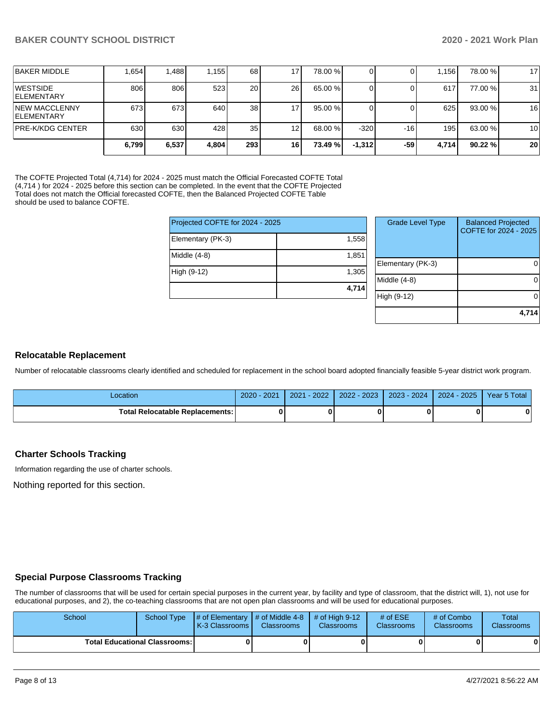|                                             | 6,799 | 6,537 | 4.804 | 293             | 16  | 73.49%  | $-1.312$ | -59 | 4.714 | 90.22%  | 20 |
|---------------------------------------------|-------|-------|-------|-----------------|-----|---------|----------|-----|-------|---------|----|
| <b>IPRE-K/KDG CENTER</b>                    | 630   | 630   | 428   | 35 <sub>1</sub> | 12  | 68.00 % | $-320$   | -16 | 1951  | 63.00 % | 10 |
| <b>INEW MACCLENNY</b><br><b>IELEMENTARY</b> | 673   | 673   | 640   | 38 <sub>l</sub> |     | 95.00 % |          |     | 625   | 93.00 % | 16 |
| <b>IWESTSIDE</b><br><b>IELEMENTARY</b>      | 806   | 806   | 523   | 20 l            | 26  | 65.00 % |          |     | 617   | 77.00 % | 31 |
| <b>BAKER MIDDLE</b>                         | .654  | ,488  | 1,155 | 68 <sup>1</sup> | ا 7 | 78.00 % |          |     | .156  | 78.00 % | 17 |

The COFTE Projected Total (4,714) for 2024 - 2025 must match the Official Forecasted COFTE Total (4,714) for 2024 - 2025 before this section can be completed. In the event that the COFTE Projected Total does not match the Official forecasted COFTE, then the Balanced Projected COFTE Table should be used to balance COFTE.

| Projected COFTE for 2024 - 2025 |       | Grade I     |
|---------------------------------|-------|-------------|
| Elementary (PK-3)               | 1.558 |             |
| Middle $(4-8)$                  | 1.851 | Elementar   |
| High (9-12)                     | 1,305 | Middle (4-8 |
|                                 | 4,714 |             |
|                                 |       | High (9-12  |

| <b>Grade Level Type</b> | <b>Balanced Projected</b><br>COFTE for 2024 - 2025 |
|-------------------------|----------------------------------------------------|
| Elementary (PK-3)       |                                                    |
| Middle $(4-8)$          |                                                    |
| High (9-12)             |                                                    |
|                         | 4,714                                              |

#### **Relocatable Replacement**

Number of relocatable classrooms clearly identified and scheduled for replacement in the school board adopted financially feasible 5-year district work program.

| _ocation                               | 2020<br>$202^{\circ}$ | 2022<br>2021 | $-2023$<br>2022 | 2024<br>$2023 -$ | 2025<br>$2024 -$ | Year 5 Total |
|----------------------------------------|-----------------------|--------------|-----------------|------------------|------------------|--------------|
| <b>Total Relocatable Replacements:</b> |                       |              |                 |                  |                  | 0            |

#### **Charter Schools Tracking**

Information regarding the use of charter schools.

Nothing reported for this section.

#### **Special Purpose Classrooms Tracking**

The number of classrooms that will be used for certain special purposes in the current year, by facility and type of classroom, that the district will, 1), not use for educational purposes, and 2), the co-teaching classrooms that are not open plan classrooms and will be used for educational purposes.

| School | School Type                            | $\parallel$ # of Elementary $\parallel$ # of Middle 4-8 $\parallel$ # of High 9-12<br>K-3 Classrooms I | <b>Classrooms</b> | <b>Classrooms</b> | # of $ESE$<br><b>Classrooms</b> | # of Combo<br><b>Classrooms</b> | Total<br><b>Classrooms</b> |
|--------|----------------------------------------|--------------------------------------------------------------------------------------------------------|-------------------|-------------------|---------------------------------|---------------------------------|----------------------------|
|        | <b>Total Educational Classrooms: I</b> |                                                                                                        |                   |                   |                                 |                                 |                            |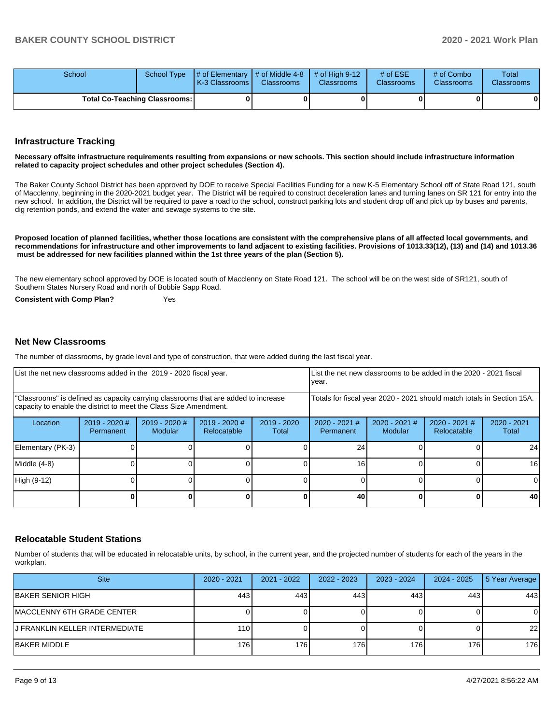| School |                                      | School Type $\parallel \#$ of Elementary $\parallel \#$ of Middle 4-8 $\parallel \#$ of High 9-12<br><b>IK-3 Classrooms I</b> | <b>Classrooms</b> | <b>Classrooms</b> | # of $ESE$<br><b>Classrooms</b> | # of Combo<br><b>Classrooms</b> | Total<br><b>Classrooms</b> |
|--------|--------------------------------------|-------------------------------------------------------------------------------------------------------------------------------|-------------------|-------------------|---------------------------------|---------------------------------|----------------------------|
|        | <b>Total Co-Teaching Classrooms:</b> |                                                                                                                               | 0                 |                   |                                 | 01                              | 0                          |

#### **Infrastructure Tracking**

#### **Necessary offsite infrastructure requirements resulting from expansions or new schools. This section should include infrastructure information related to capacity project schedules and other project schedules (Section 4).**

The Baker County School District has been approved by DOE to receive Special Facilities Funding for a new K-5 Elementary School off of State Road 121, south of Macclenny, beginning in the 2020-2021 budget year. The District will be required to construct deceleration lanes and turning lanes on SR 121 for entry into the new school. In addition, the District will be required to pave a road to the school, construct parking lots and student drop off and pick up by buses and parents, dig retention ponds, and extend the water and sewage systems to the site.

**Proposed location of planned facilities, whether those locations are consistent with the comprehensive plans of all affected local governments, and recommendations for infrastructure and other improvements to land adjacent to existing facilities. Provisions of 1013.33(12), (13) and (14) and 1013.36 must be addressed for new facilities planned within the 1st three years of the plan (Section 5).** 

The new elementary school approved by DOE is located south of Macclenny on State Road 121. The school will be on the west side of SR121, south of Southern States Nursery Road and north of Bobbie Sapp Road.

**Consistent with Comp Plan?** Yes

#### **Net New Classrooms**

The number of classrooms, by grade level and type of construction, that were added during the last fiscal year.

| List the net new classrooms added in the 2019 - 2020 fiscal year.                                                                                       | year.                                                                  |                                 | List the net new classrooms to be added in the 2020 - 2021 fiscal |                        |                            |                            |                                |                        |
|---------------------------------------------------------------------------------------------------------------------------------------------------------|------------------------------------------------------------------------|---------------------------------|-------------------------------------------------------------------|------------------------|----------------------------|----------------------------|--------------------------------|------------------------|
| "Classrooms" is defined as capacity carrying classrooms that are added to increase<br>capacity to enable the district to meet the Class Size Amendment. | Totals for fiscal year 2020 - 2021 should match totals in Section 15A. |                                 |                                                                   |                        |                            |                            |                                |                        |
| Location                                                                                                                                                | 2019 - 2020 #<br>Permanent                                             | 2019 - 2020 #<br><b>Modular</b> | 2019 - 2020 #<br>Relocatable                                      | $2019 - 2020$<br>Total | 2020 - 2021 #<br>Permanent | $2020 - 2021$ #<br>Modular | $2020 - 2021$ #<br>Relocatable | $2020 - 2021$<br>Total |
| Elementary (PK-3)                                                                                                                                       |                                                                        |                                 |                                                                   |                        | 24                         |                            |                                | 24                     |
| Middle (4-8)                                                                                                                                            |                                                                        |                                 |                                                                   |                        | 16                         |                            |                                | 16                     |
| High (9-12)                                                                                                                                             |                                                                        |                                 |                                                                   |                        |                            |                            |                                | $\Omega$               |
|                                                                                                                                                         |                                                                        |                                 |                                                                   |                        | 40                         |                            |                                | 40                     |

#### **Relocatable Student Stations**

Number of students that will be educated in relocatable units, by school, in the current year, and the projected number of students for each of the years in the workplan.

| <b>Site</b>                     | $2020 - 2021$ | 2021 - 2022 | 2022 - 2023 | $2023 - 2024$ | 2024 - 2025 | 5 Year Average |
|---------------------------------|---------------|-------------|-------------|---------------|-------------|----------------|
| BAKER SENIOR HIGH               | 443           | 443         | 443         | 443           | 443         | 443            |
| MACCLENNY 6TH GRADE CENTER      |               |             |             |               |             | 0              |
| IJ FRANKLIN KELLER INTERMEDIATE | 110           |             |             |               |             | 22             |
| IBAKER MIDDLE                   | 176           | 176         | 176         | 176           | 176         | 176            |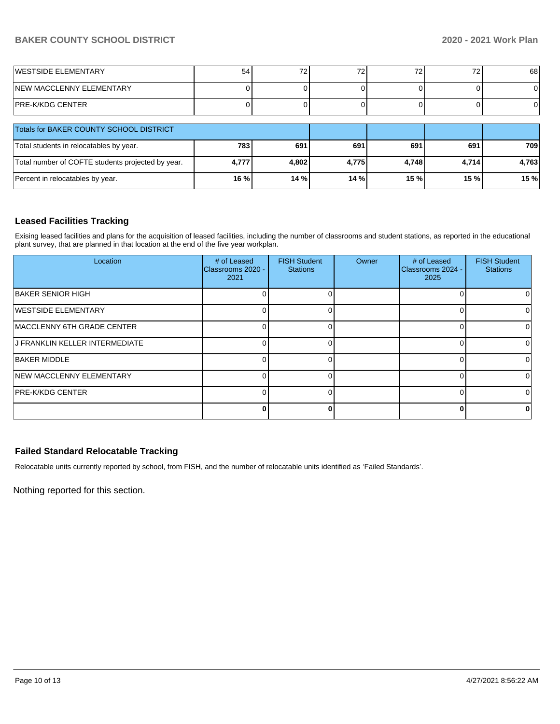## **BAKER COUNTY SCHOOL DISTRICT 2020 - 2021 Work Plan**

| <b>IWESTSIDE ELEMENTARY</b> | 54 | ⇁<br><u>_</u> | $\overline{\phantom{a}}$<br>. L | ້ | 68 |
|-----------------------------|----|---------------|---------------------------------|---|----|
| NEW MACCLENNY ELEMENTARY    |    |               |                                 |   |    |
| PRE-K/KDG CENTER            |    |               |                                 |   | 01 |

| <b>Totals for BAKER COUNTY SCHOOL DISTRICT</b>    |       |       |        |       |       |       |
|---------------------------------------------------|-------|-------|--------|-------|-------|-------|
| Total students in relocatables by year.           | 783   | 691   | 691    | 691   | 691   | 709   |
| Total number of COFTE students projected by year. | 4.777 | 4,802 | 4.775  | 4.748 | 4.714 | 4,763 |
| Percent in relocatables by year.                  | 16 %  | 14 %  | 14 % I | 15%   | 15%   | 15 %  |

## **Leased Facilities Tracking**

Exising leased facilities and plans for the acquisition of leased facilities, including the number of classrooms and student stations, as reported in the educational plant survey, that are planned in that location at the end of the five year workplan.

| Location                           | # of Leased<br>Classrooms 2020 -<br>2021 | <b>FISH Student</b><br><b>Stations</b> | Owner | # of Leased<br>Classrooms 2024 -<br>2025 | <b>FISH Student</b><br><b>Stations</b> |
|------------------------------------|------------------------------------------|----------------------------------------|-------|------------------------------------------|----------------------------------------|
| BAKER SENIOR HIGH                  |                                          |                                        |       |                                          |                                        |
| <b>IWESTSIDE ELEMENTARY</b>        |                                          |                                        |       |                                          | 0                                      |
| <b>IMACCLENNY 6TH GRADE CENTER</b> |                                          |                                        |       |                                          | 0                                      |
| J FRANKLIN KELLER INTERMEDIATE     |                                          |                                        |       |                                          | ΩI                                     |
| <b>BAKER MIDDLE</b>                |                                          |                                        |       | C                                        | $\Omega$                               |
| <b>NEW MACCLENNY ELEMENTARY</b>    |                                          |                                        |       |                                          | 0                                      |
| <b>IPRE-K/KDG CENTER</b>           |                                          |                                        |       |                                          | $\Omega$                               |
|                                    |                                          | ŋ                                      |       |                                          | 0                                      |

## **Failed Standard Relocatable Tracking**

Relocatable units currently reported by school, from FISH, and the number of relocatable units identified as 'Failed Standards'.

Nothing reported for this section.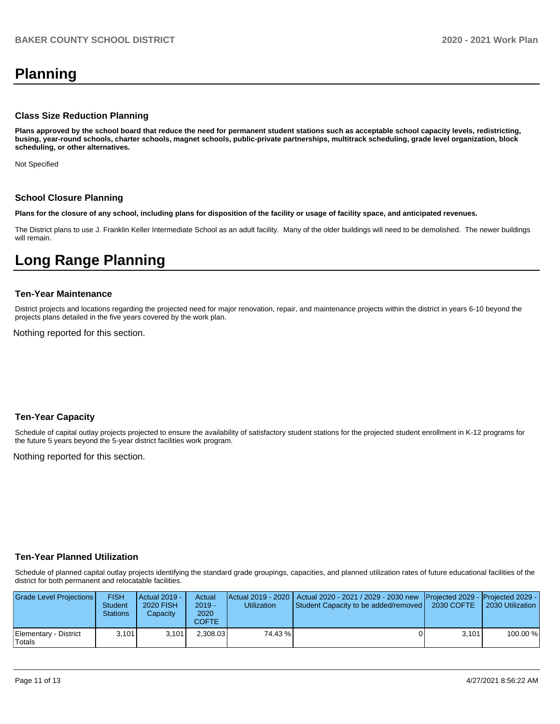# **Planning**

#### **Class Size Reduction Planning**

**Plans approved by the school board that reduce the need for permanent student stations such as acceptable school capacity levels, redistricting, busing, year-round schools, charter schools, magnet schools, public-private partnerships, multitrack scheduling, grade level organization, block scheduling, or other alternatives.**

Not Specified

#### **School Closure Planning**

**Plans for the closure of any school, including plans for disposition of the facility or usage of facility space, and anticipated revenues.** 

The District plans to use J. Franklin Keller Intermediate School as an adult facility. Many of the older buildings will need to be demolished. The newer buildings will remain.

# **Long Range Planning**

#### **Ten-Year Maintenance**

District projects and locations regarding the projected need for major renovation, repair, and maintenance projects within the district in years 6-10 beyond the projects plans detailed in the five years covered by the work plan.

Nothing reported for this section.

#### **Ten-Year Capacity**

Schedule of capital outlay projects projected to ensure the availability of satisfactory student stations for the projected student enrollment in K-12 programs for the future 5 years beyond the 5-year district facilities work program.

Nothing reported for this section.

#### **Ten-Year Planned Utilization**

Schedule of planned capital outlay projects identifying the standard grade groupings, capacities, and planned utilization rates of future educational facilities of the district for both permanent and relocatable facilities.

| Grade Level Projections         | <b>FISH</b><br>Student<br>Stations | <b>Actual 2019 -</b><br><b>2020 FISH</b><br>Capacity | Actual<br>$2019 -$<br>2020<br><b>COFTE</b> | Utilization | Actual 2019 - 2020   Actual 2020 - 2021 / 2029 - 2030 new   Projected 2029 -   Projected 2029 -<br><b>Student Capacity to be added/removed  </b> | 2030 COFTE | 2030 Utilization |
|---------------------------------|------------------------------------|------------------------------------------------------|--------------------------------------------|-------------|--------------------------------------------------------------------------------------------------------------------------------------------------|------------|------------------|
| Elementary - District<br>Totals | 3.101                              | 3.101                                                | 2.308.03                                   | 74.43 %     |                                                                                                                                                  | 3.101      | 100.00 %         |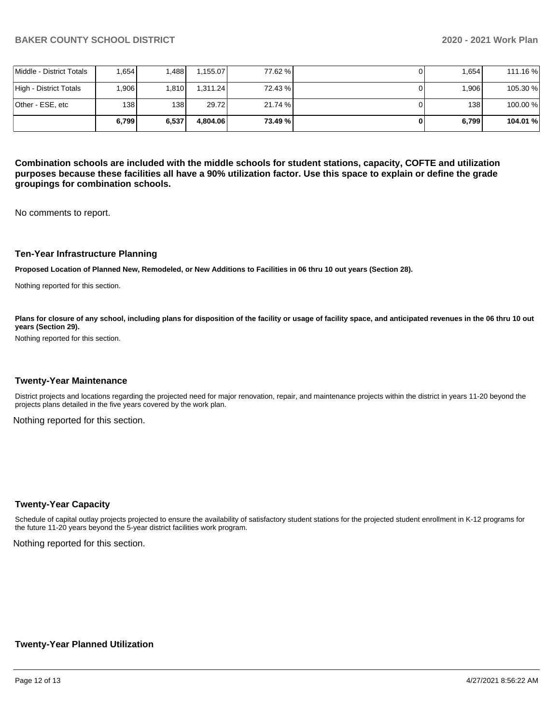|                          | 6.799             | 6,537 | 4.804.06 | 73.49 % | 6.799 | 104.01 % |
|--------------------------|-------------------|-------|----------|---------|-------|----------|
| lOther - ESE. etc        | 138 <sup>l</sup>  | 138 I | 29.72    | 21.74 % | 138 I | 100.00 % |
| High - District Totals   | .906 <sub>1</sub> | 1.810 | 1.311.24 | 72.43 % | 1,906 | 105.30 % |
| Middle - District Totals | .654              | .488  | 1.155.07 | 77.62 % | 1.654 | 111.16 % |

**Combination schools are included with the middle schools for student stations, capacity, COFTE and utilization purposes because these facilities all have a 90% utilization factor. Use this space to explain or define the grade groupings for combination schools.** 

No comments to report.

#### **Ten-Year Infrastructure Planning**

**Proposed Location of Planned New, Remodeled, or New Additions to Facilities in 06 thru 10 out years (Section 28).**

Nothing reported for this section.

Plans for closure of any school, including plans for disposition of the facility or usage of facility space, and anticipated revenues in the 06 thru 10 out **years (Section 29).**

Nothing reported for this section.

#### **Twenty-Year Maintenance**

District projects and locations regarding the projected need for major renovation, repair, and maintenance projects within the district in years 11-20 beyond the projects plans detailed in the five years covered by the work plan.

Nothing reported for this section.

#### **Twenty-Year Capacity**

Schedule of capital outlay projects projected to ensure the availability of satisfactory student stations for the projected student enrollment in K-12 programs for the future 11-20 years beyond the 5-year district facilities work program.

Nothing reported for this section.

#### **Twenty-Year Planned Utilization**